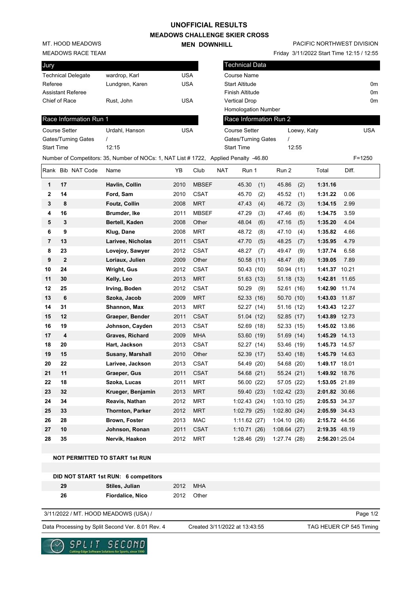### **UNOFFICIAL RESULTS**

**MEADOWS CHALLENGE SKIER CROSS MEN DOWNHILL** 

MT. HOOD MEADOWS

#### MEADOWS RACE TEAM

| Jury                      |                 |            |
|---------------------------|-----------------|------------|
| <b>Technical Delegate</b> | wardrop, Karl   | USA        |
| Referee                   | Lundgren, Karen | <b>USA</b> |
| <b>Assistant Referee</b>  |                 |            |
| Chief of Race             | Rust, John      | <b>USA</b> |
|                           |                 |            |

### Race Information Run 1

| Course Setter       | Urdahl, Hanson | USA |
|---------------------|----------------|-----|
| Gates/Turning Gates |                |     |
| Start Time          | 12.15          |     |
| . .                 |                |     |

# PACIFIC NORTHWEST DIVISION

|                   | <b>MEADOWS RACE TEAM</b>   |                                                                                       |            |              |            |                       |     |                        |             | Friday 3/11/2022 Start Time 12:15 / 12:55 |       |                |
|-------------------|----------------------------|---------------------------------------------------------------------------------------|------------|--------------|------------|-----------------------|-----|------------------------|-------------|-------------------------------------------|-------|----------------|
| Jury              |                            |                                                                                       |            |              |            | <b>Technical Data</b> |     |                        |             |                                           |       |                |
|                   | <b>Technical Delegate</b>  | wardrop, Karl                                                                         | <b>USA</b> |              |            | Course Name           |     |                        |             |                                           |       |                |
| Referee           |                            | Lundgren, Karen                                                                       |            | <b>USA</b>   |            | <b>Start Altitude</b> |     |                        |             |                                           |       | 0m             |
|                   | <b>Assistant Referee</b>   |                                                                                       |            |              |            | Finish Altitude       |     |                        |             |                                           |       | 0 <sub>m</sub> |
|                   | Chief of Race              | Rust, John                                                                            | <b>USA</b> |              |            | <b>Vertical Drop</b>  |     |                        |             |                                           |       | 0 <sub>m</sub> |
|                   |                            |                                                                                       |            |              |            | Homologation Number   |     |                        |             |                                           |       |                |
|                   | Race Information Run 1     |                                                                                       |            |              |            |                       |     | Race Information Run 2 |             |                                           |       |                |
|                   | <b>Course Setter</b>       | Urdahl, Hanson                                                                        | <b>USA</b> |              |            | <b>Course Setter</b>  |     |                        | Loewy, Katy |                                           |       | <b>USA</b>     |
|                   | <b>Gates/Turning Gates</b> | $\prime$                                                                              |            |              |            | Gates/Turning Gates   |     | $\prime$               |             |                                           |       |                |
| <b>Start Time</b> |                            | 12:15                                                                                 |            |              |            | <b>Start Time</b>     |     |                        | 12:55       |                                           |       |                |
|                   |                            | Number of Competitors: 35, Number of NOCs: 1, NAT List # 1722, Applied Penalty -46.80 |            |              |            |                       |     |                        |             |                                           |       | $F = 1250$     |
|                   | Rank Bib NAT Code          | Name                                                                                  | YB         | Club         | <b>NAT</b> | Run 1                 |     | Run 2                  |             | Total                                     | Diff. |                |
| 1                 | 17                         | Havlin, Collin                                                                        | 2010       | <b>MBSEF</b> |            | 45.30                 | (1) | 45.86                  | (2)         | 1:31.16                                   |       |                |
| 2                 | 14                         | Ford, Sam                                                                             | 2010       | <b>CSAT</b>  |            | 45.70                 | (2) | 45.52                  | (1)         | 1:31.22                                   | 0.06  |                |
| 3                 | 8                          | <b>Foutz, Collin</b>                                                                  | 2008       | <b>MRT</b>   |            | 47.43                 | (4) | 46.72                  | (3)         | 1:34.15                                   | 2.99  |                |
| 4                 | 16                         | Brumder, Ike                                                                          | 2011       | <b>MBSEF</b> |            | 47.29                 | (3) | 47.46                  | (6)         | 1:34.75                                   | 3.59  |                |
| 5                 | 3                          | Bertell, Kaden                                                                        | 2008       | Other        |            | 48.04                 | (6) | 47.16                  | (5)         | 1:35.20                                   | 4.04  |                |
| 6                 | 9                          | Klug, Dane                                                                            | 2008       | <b>MRT</b>   |            | 48.72                 | (8) | 47.10                  | (4)         | 1:35.82                                   | 4.66  |                |
| 7                 | 13                         | Larivee, Nicholas                                                                     | 2011       | <b>CSAT</b>  |            | 47.70                 | (5) | 48.25                  | (7)         | 1:35.95                                   | 4.79  |                |
| 8                 | 23                         | Lovejoy, Sawyer                                                                       | 2012       | <b>CSAT</b>  |            | 48.27                 | (7) | 49.47                  | (9)         | 1:37.74                                   | 6.58  |                |
| 9                 | $\overline{2}$             | Loriaux, Julien                                                                       | 2009       | Other        |            | 50.58 (11)            |     | 48.47                  | (8)         | 1:39.05                                   | 7.89  |                |
| 10                | 24                         | <b>Wright, Gus</b>                                                                    | 2012       | <b>CSAT</b>  |            | 50.43 (10)            |     | 50.94 (11)             |             | 1:41.37 10.21                             |       |                |
| 11                | 30                         | Kelly, Leo                                                                            | 2013       | <b>MRT</b>   |            | 51.63(13)             |     | 51.18 (13)             |             | 1:42.81 11.65                             |       |                |
| 12                | 25                         | Irving, Boden                                                                         | 2012       | <b>CSAT</b>  |            | 50.29                 | (9) | 52.61 (16)             |             | 1:42.90 11.74                             |       |                |
| 13                | 6                          | Szoka, Jacob                                                                          | 2009       | <b>MRT</b>   |            | 52.33 (16)            |     | 50.70 (10)             |             | 1:43.03 11.87                             |       |                |
| 14                | 31                         | Shannon, Max                                                                          | 2013       | <b>MRT</b>   |            | 52.27 (14)            |     | 51.16 (12)             |             | 1:43.43 12.27                             |       |                |
| 15                | 12                         | Graeper, Bender                                                                       | 2011       | <b>CSAT</b>  |            | 51.04 (12)            |     | 52.85 (17)             |             | 1:43.89 12.73                             |       |                |
| 16                | 19                         | Johnson, Cayden                                                                       | 2013       | <b>CSAT</b>  |            | 52.69 (18)            |     | 52.33 (15)             |             | 1:45.02 13.86                             |       |                |
| 17                | 4                          | Graves, Richard                                                                       | 2009       | <b>MHA</b>   |            | 53.60 (19)            |     | 51.69 (14)             |             | 1:45.29 14.13                             |       |                |
| 18                | 20                         | Hart, Jackson                                                                         | 2013       | <b>CSAT</b>  |            | 52.27 (14)            |     | 53.46 (19)             |             | 1:45.73 14.57                             |       |                |
| 19                | 15                         | Susany, Marshall                                                                      | 2010       | Other        |            | 52.39 (17)            |     | 53.40 (18)             |             | 1:45.79 14.63                             |       |                |
| 20                | 22                         | Larivee, Jackson                                                                      | 2013       | <b>CSAT</b>  |            | 54.49 (20)            |     | 54.68 (20)             |             | 1:49.17 18.01                             |       |                |
| 21                | 11                         | Graeper, Gus                                                                          | 2011       | <b>CSAT</b>  |            | 54.68 (21)            |     | 55.24 (21)             |             | 1:49.92 18.76                             |       |                |
| 22                | 18                         | Szoka, Lucas                                                                          | 2011       | <b>MRT</b>   |            | 56.00 (22)            |     | 57.05 (22)             |             | 1:53.05 21.89                             |       |                |
| 23                | 32                         | Krueger, Benjamin                                                                     | 2013       | <b>MRT</b>   |            | 59.40 (23)            |     | 1:02.42(23)            |             | 2:01.82 30.66                             |       |                |
| 24                | 34                         | Reavis, Nathan                                                                        | 2012       | <b>MRT</b>   |            | 1:02.43(24)           |     | 1:03.10(25)            |             | 2:05.53 34.37                             |       |                |

### **NOT PERMITTED TO START 1st RUN**

|    | DID NOT START 1st RUN: 6 competitors |          |            |
|----|--------------------------------------|----------|------------|
| 29 | Stiles, Julian                       | 2012 MHA |            |
| 26 | <b>Fiordalice, Nico</b>              |          | 2012 Other |

#### 3/11/2022 / MT. HOOD MEADOWS (USA) /

Data Processing by Split Second Ver. 8.01 Rev. 4 Created 3/11/2022 at 13:43:55 TAG HEUER CP 545 Timing

Created 3/11/2022 at 13:43:55

**25 33 Thornton, Parker** 2012 MRT 1:02.79 (25) 1:02.80 (24) **2:05.59** 34.43 **26 28 Brown, Foster** 2013 MAC 1:11.62 (27) 1:04.10 (26) **2:15.72** 44.56 **27 10 Johnson, Ronan** 2011 CSAT 1:10.71 (26) 1:08.64 (27) **2:19.35** 48.19 **28 35 Nervik, Haakon** 2012 MRT 1:28.46 (29) 1:27.74 (28) **2:56.20**1:25.04

Page 1/2